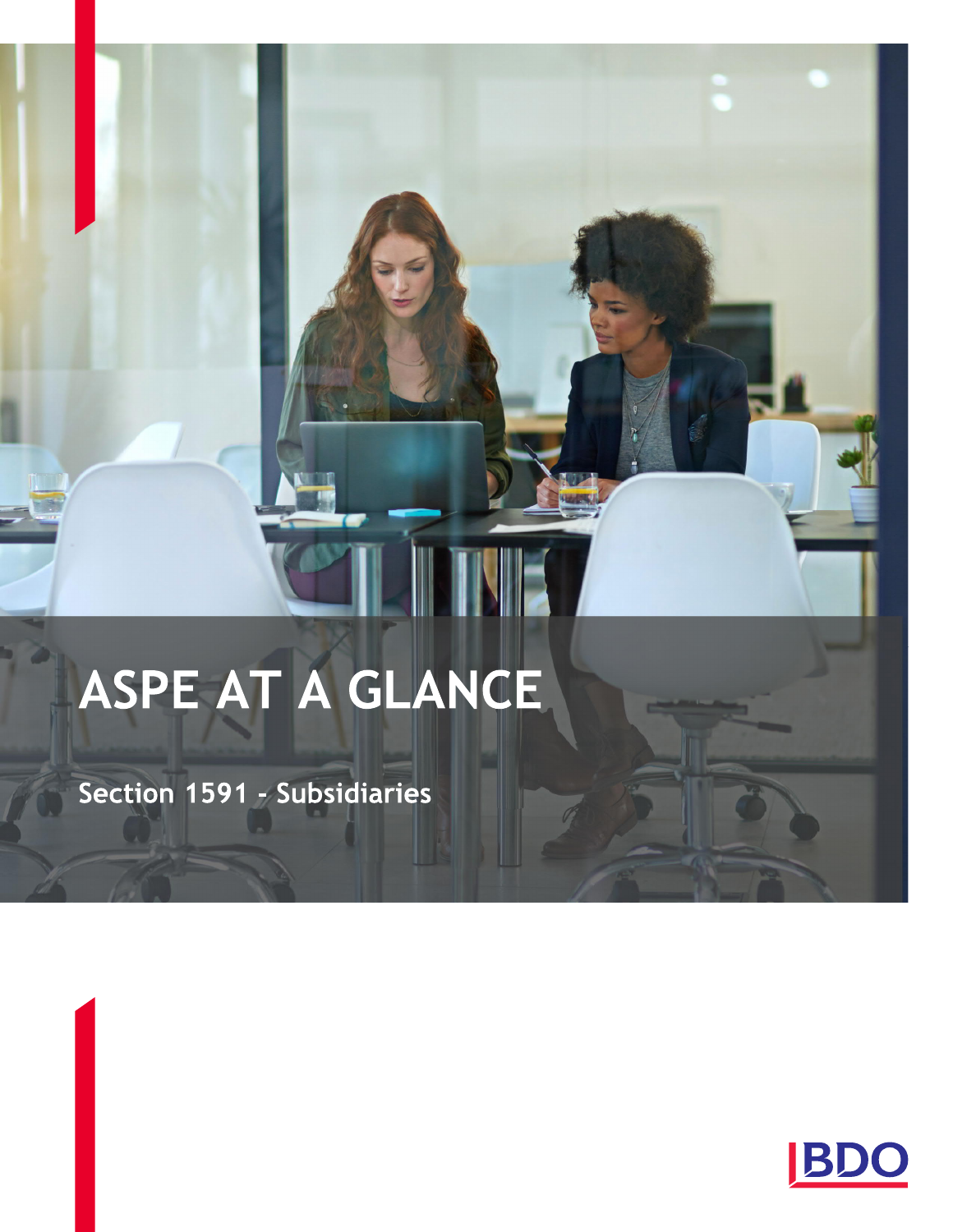# ASPE AT A GLANCE

WE

Section 1591 - Subsidiaries

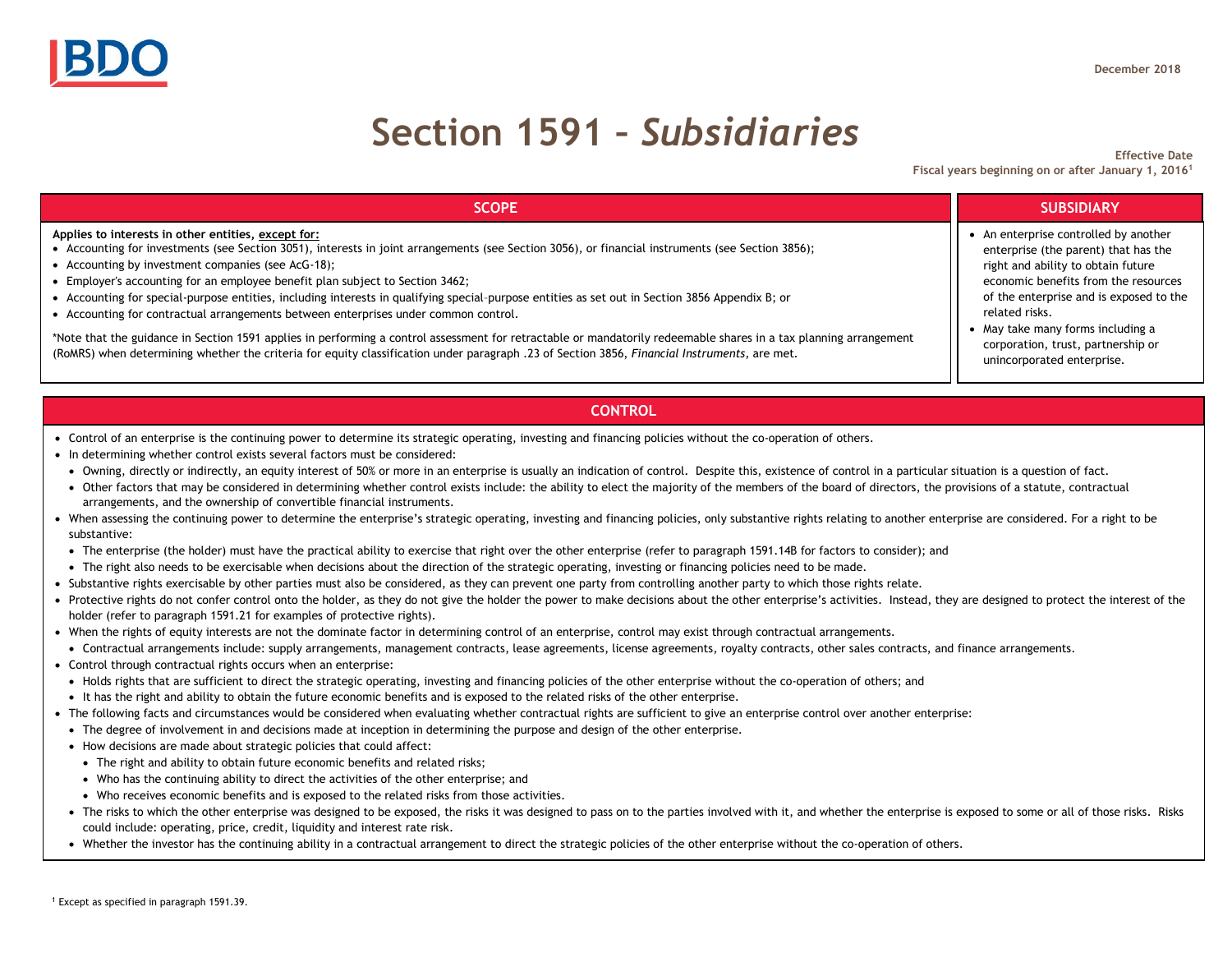## **Section 1591 –** *Subsidiaries*

**Effective Date Fiscal years beginning on or after January 1, 2016<sup>1</sup>**

| <b>SCOPE</b>                                                                                                                                                                                                                                                                                                                                                                                                                                                                                                                                                                              | <b>SUBSIDIARY</b>                                                                                                                                                                                                                                                                                                             |
|-------------------------------------------------------------------------------------------------------------------------------------------------------------------------------------------------------------------------------------------------------------------------------------------------------------------------------------------------------------------------------------------------------------------------------------------------------------------------------------------------------------------------------------------------------------------------------------------|-------------------------------------------------------------------------------------------------------------------------------------------------------------------------------------------------------------------------------------------------------------------------------------------------------------------------------|
| Applies to interests in other entities, except for:<br>• Accounting for investments (see Section 3051), interests in joint arrangements (see Section 3056), or financial instruments (see Section 3856);<br>• Accounting by investment companies (see AcG-18);<br>• Employer's accounting for an employee benefit plan subject to Section 3462;<br>• Accounting for special-purpose entities, including interests in qualifying special-purpose entities as set out in Section 3856 Appendix B; or<br>• Accounting for contractual arrangements between enterprises under common control. | An enterprise controlled by another<br>enterprise (the parent) that has the<br>right and ability to obtain future<br>economic benefits from the resources<br>of the enterprise and is exposed to the<br>related risks.<br>May take many forms including a<br>corporation, trust, partnership or<br>unincorporated enterprise. |
| *Note that the guidance in Section 1591 applies in performing a control assessment for retractable or mandatorily redeemable shares in a tax planning arrangement<br>(RoMRS) when determining whether the criteria for equity classification under paragraph .23 of Section 3856, Financial Instruments, are met.                                                                                                                                                                                                                                                                         |                                                                                                                                                                                                                                                                                                                               |

### **CONTROL**

- Control of an enterprise is the continuing power to determine its strategic operating, investing and financing policies without the co-operation of others.
- In determining whether control exists several factors must be considered:
- Owning, directly or indirectly, an equity interest of 50% or more in an enterprise is usually an indication of control. Despite this, existence of control in a particular situation is a question of fact.
- Other factors that may be considered in determining whether control exists include: the ability to elect the majority of the members of the board of directors, the provisions of a statute, contractual arrangements, and the ownership of convertible financial instruments.
- When assessing the continuing power to determine the enterprise's strategic operating, investing and financing policies, only substantive rights relating to another enterprise are considered. For a right to be substantive:
- The enterprise (the holder) must have the practical ability to exercise that right over the other enterprise (refer to paragraph 1591.14B for factors to consider); and
- The right also needs to be exercisable when decisions about the direction of the strategic operating, investing or financing policies need to be made.
- Substantive rights exercisable by other parties must also be considered, as they can prevent one party from controlling another party to which those rights relate.
- Protective rights do not confer control onto the holder, as they do not give the holder the power to make decisions about the other enterprise's activities. Instead, they are designed to protect the interest of the holder (refer to paragraph 1591.21 for examples of protective rights).
- When the rights of equity interests are not the dominate factor in determining control of an enterprise, control may exist through contractual arrangements.
- Contractual arrangements include: supply arrangements, management contracts, lease agreements, license agreements, royalty contracts, other sales contracts, and finance arrangements.
- Control through contractual rights occurs when an enterprise:
- Holds rights that are sufficient to direct the strategic operating, investing and financing policies of the other enterprise without the co-operation of others; and
- It has the right and ability to obtain the future economic benefits and is exposed to the related risks of the other enterprise.
- The following facts and circumstances would be considered when evaluating whether contractual rights are sufficient to give an enterprise control over another enterprise:
- The degree of involvement in and decisions made at inception in determining the purpose and design of the other enterprise.
- How decisions are made about strategic policies that could affect:
- The right and ability to obtain future economic benefits and related risks;
- Who has the continuing ability to direct the activities of the other enterprise; and
- Who receives economic benefits and is exposed to the related risks from those activities.
- The risks to which the other enterprise was designed to be exposed, the risks it was designed to pass on to the parties involved with it, and whether the enterprise is exposed to some or all of those risks. Risks could include: operating, price, credit, liquidity and interest rate risk.
- Whether the investor has the continuing ability in a contractual arrangement to direct the strategic policies of the other enterprise without the co-operation of others.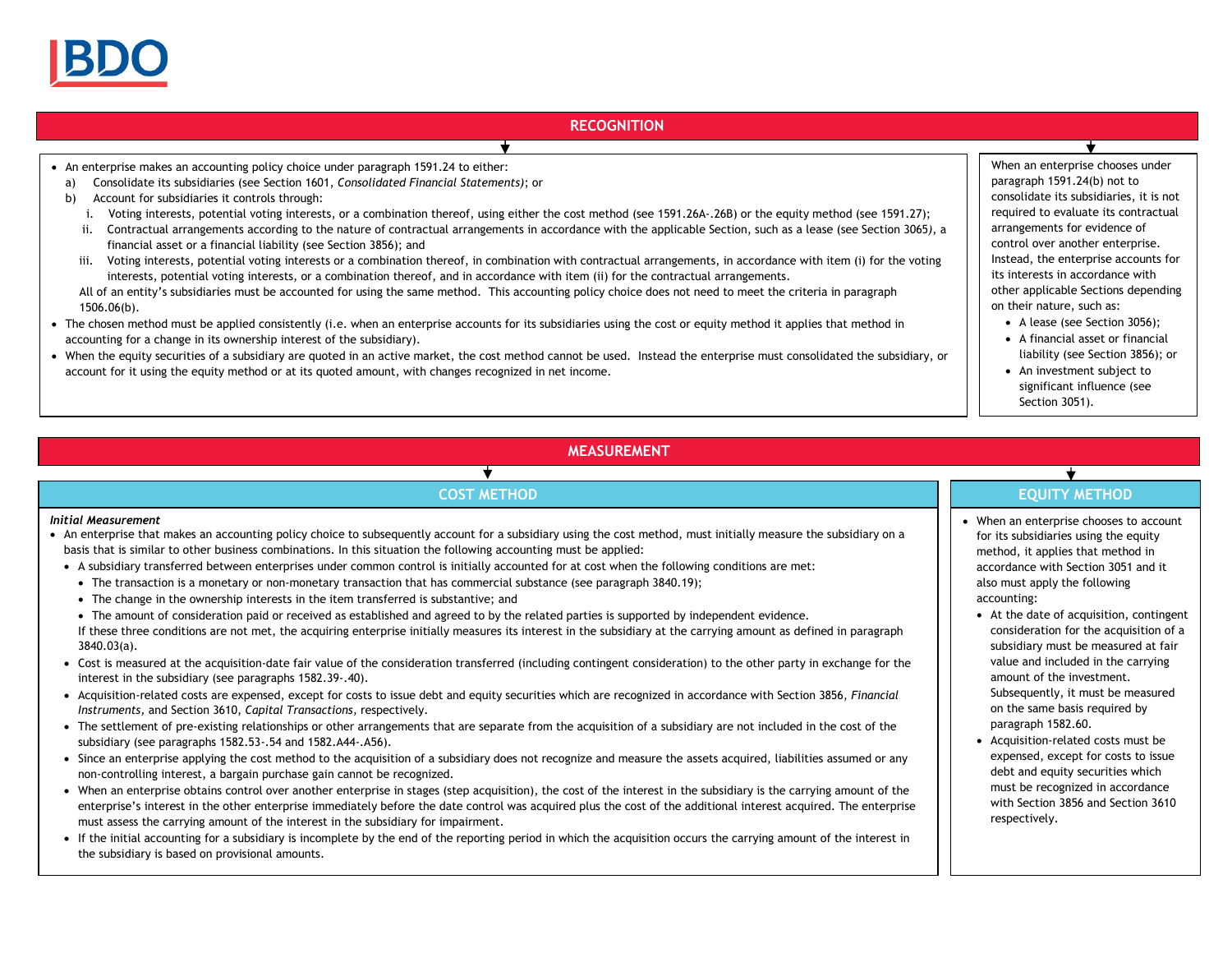

#### **RECOGNITION**

- An enterprise makes an accounting policy choice under paragraph 1591.24 to either:
- a) Consolidate its subsidiaries (see Section 1601, *Consolidated Financial Statements)*; or
- b) Account for subsidiaries it controls through:
	- i. Voting interests, potential voting interests, or a combination thereof, using either the cost method (see 1591.26A-.26B) or the equity method (see 1591.27);

4

- ii. Contractual arrangements according to the nature of contractual arrangements in accordance with the applicable Section, such as a lease (see Section 3065*)*, a financial asset or a financial liability (see Section 3856); and
- iii. Voting interests, potential voting interests or a combination thereof, in combination with contractual arrangements, in accordance with item (i) for the voting interests, potential voting interests, or a combination thereof, and in accordance with item (ii) for the contractual arrangements.

All of an entity's subsidiaries must be accounted for using the same method. This accounting policy choice does not need to meet the criteria in paragraph 1506.06(b).

- The chosen method must be applied consistently (i.e. when an enterprise accounts for its subsidiaries using the cost or equity method it applies that method in accounting for a change in its ownership interest of the subsidiary).
- When the equity securities of a subsidiary are quoted in an active market, the cost method cannot be used. Instead the enterprise must consolidated the subsidiary, or account for it using the equity method or at its quoted amount, with changes recognized in net income.

When an enterprise chooses under paragraph 1591.24(b) not to consolidate its subsidiaries, it is not required to evaluate its contractual arrangements for evidence of control over another enterprise. Instead, the enterprise accounts for its interests in accordance with other applicable Sections depending on their nature, such as:

- A lease (see Section 3056):
- A financial asset or financial liability (see Section 3856); or
- An investment subject to significant influence (see Section 3051).

### **MEASUREMENT**

#### *Initial Measurement*

 An enterprise that makes an accounting policy choice to subsequently account for a subsidiary using the cost method, must initially measure the subsidiary on a basis that is similar to other business combinations. In this situation the following accounting must be applied:

 $\overline{\textbf{v}}$ 

- A subsidiary transferred between enterprises under common control is initially accounted for at cost when the following conditions are met:
	- The transaction is a monetary or non-monetary transaction that has commercial substance (see paragraph 3840.19);
	- The change in the ownership interests in the item transferred is substantive; and
	- The amount of consideration paid or received as established and agreed to by the related parties is supported by independent evidence.
	- If these three conditions are not met, the acquiring enterprise initially measures its interest in the subsidiary at the carrying amount as defined in paragraph 3840.03(a).
- Cost is measured at the acquisition-date fair value of the consideration transferred (including contingent consideration) to the other party in exchange for the interest in the subsidiary (see paragraphs 1582.39-.40).
- Acquisition-related costs are expensed, except for costs to issue debt and equity securities which are recognized in accordance with Section 3856, *Financial Instruments,* and Section 3610, *Capital Transactions,* respectively.
- The settlement of pre-existing relationships or other arrangements that are separate from the acquisition of a subsidiary are not included in the cost of the subsidiary (see paragraphs 1582.53-.54 and 1582.A44-.A56).
- Since an enterprise applying the cost method to the acquisition of a subsidiary does not recognize and measure the assets acquired, liabilities assumed or any non-controlling interest, a bargain purchase gain cannot be recognized.
- When an enterprise obtains control over another enterprise in stages (step acquisition), the cost of the interest in the subsidiary is the carrying amount of the enterprise's interest in the other enterprise immediately before the date control was acquired plus the cost of the additional interest acquired. The enterprise must assess the carrying amount of the interest in the subsidiary for impairment.
- If the initial accounting for a subsidiary is incomplete by the end of the reporting period in which the acquisition occurs the carrying amount of the interest in the subsidiary is based on provisional amounts.

#### $\star$ **COST METHOD EQUITY METHOD**

- When an enterprise chooses to account for its subsidiaries using the equity method, it applies that method in accordance with Section 3051 and it also must apply the following accounting:
	- At the date of acquisition, contingent consideration for the acquisition of a subsidiary must be measured at fair value and included in the carrying amount of the investment. Subsequently, it must be measured on the same basis required by paragraph 1582.60.
	- Acquisition-related costs must be expensed, except for costs to issue debt and equity securities which must be recognized in accordance with Section 3856 and Section 3610 respectively.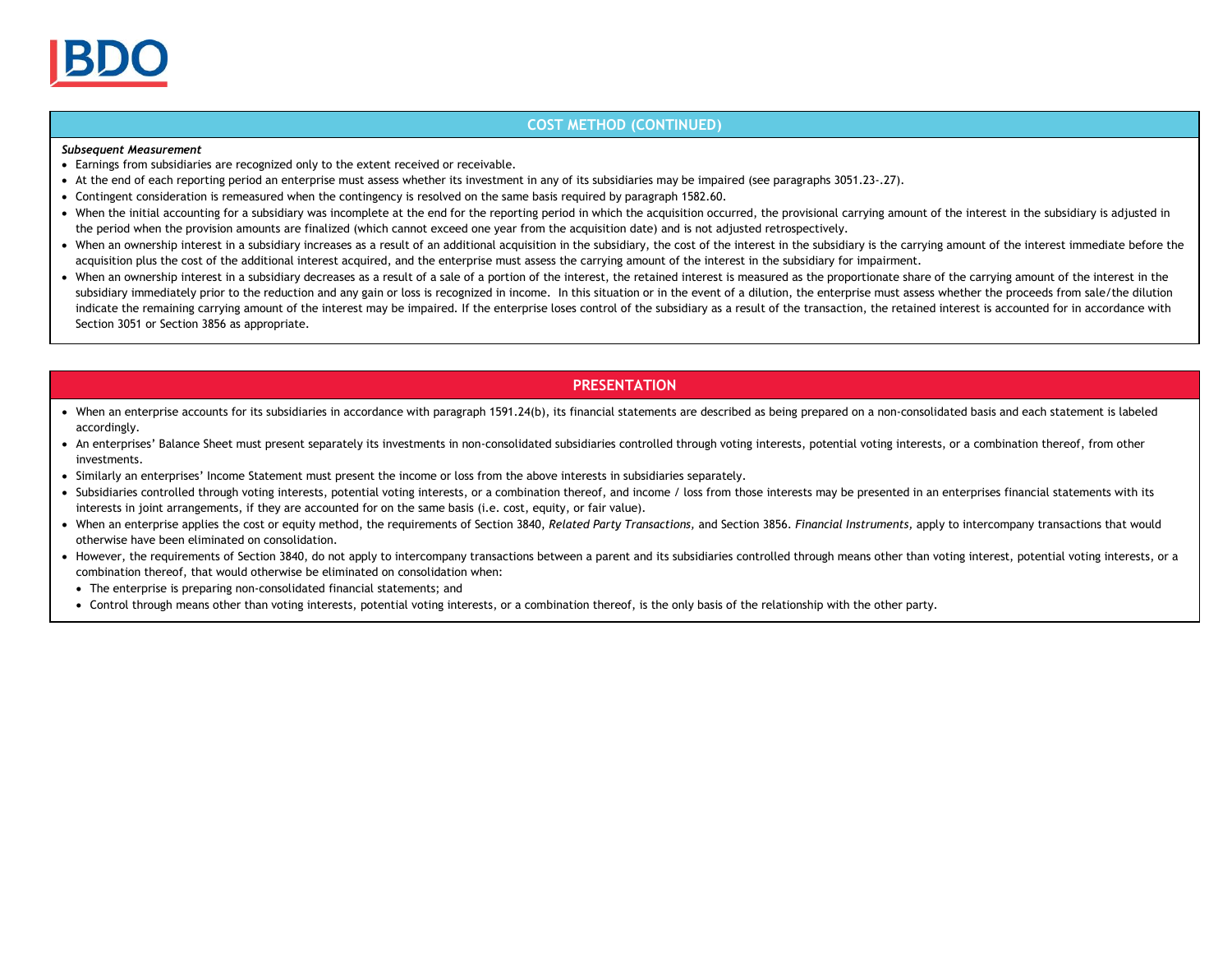#### **COST METHOD (CONTINUED)**

#### *Subsequent Measurement*

- Earnings from subsidiaries are recognized only to the extent received or receivable.
- At the end of each reporting period an enterprise must assess whether its investment in any of its subsidiaries may be impaired (see paragraphs 3051.23-.27).
- Contingent consideration is remeasured when the contingency is resolved on the same basis required by paragraph 1582.60.
- When the initial accounting for a subsidiary was incomplete at the end for the reporting period in which the acquisition occurred, the provisional carrying amount of the interest in the subsidiary is adjusted in the period when the provision amounts are finalized (which cannot exceed one year from the acquisition date) and is not adjusted retrospectively.
- When an ownership interest in a subsidiary increases as a result of an additional acquisition in the subsidiary, the cost of the interest in the subsidiary is the carrying amount of the interest immediate before the acquisition plus the cost of the additional interest acquired, and the enterprise must assess the carrying amount of the interest in the subsidiary for impairment.
- When an ownership interest in a subsidiary decreases as a result of a sale of a portion of the interest, the retained interest is measured as the proportionate share of the carrying amount of the interest in the subsidiary immediately prior to the reduction and any gain or loss is recognized in income. In this situation or in the event of a dilution, the enterprise must assess whether the proceeds from sale/the dilution indicate the remaining carrying amount of the interest may be impaired. If the enterprise loses control of the subsidiary as a result of the transaction, the retained interest is accounted for in accordance with Section 3051 or Section 3856 as appropriate.

#### **PRESENTATION**

- When an enterprise accounts for its subsidiaries in accordance with paragraph 1591.24(b), its financial statements are described as being prepared on a non-consolidated basis and each statement is labeled accordingly.
- An enterprises' Balance Sheet must present separately its investments in non-consolidated subsidiaries controlled through voting interests, potential voting interests, or a combination thereof, from other investments.
- Similarly an enterprises' Income Statement must present the income or loss from the above interests in subsidiaries separately.
- Subsidiaries controlled through voting interests, potential voting interests, or a combination thereof, and income / loss from those interests may be presented in an enterprises financial statements with its interests in joint arrangements, if they are accounted for on the same basis (i.e. cost, equity, or fair value).
- When an enterprise applies the cost or equity method, the requirements of Section 3840, *Related Party Transactions,* and Section 3856. *Financial Instruments,* apply to intercompany transactions that would otherwise have been eliminated on consolidation.
- However, the requirements of Section 3840, do not apply to intercompany transactions between a parent and its subsidiaries controlled through means other than voting interest, potential voting interests, or a combination thereof, that would otherwise be eliminated on consolidation when:
- The enterprise is preparing non-consolidated financial statements; and
- Control through means other than voting interests, potential voting interests, or a combination thereof, is the only basis of the relationship with the other party.